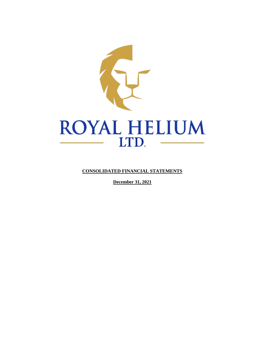

**CONSOLIDATED FINANCIAL STATEMENTS**

**December 31, 2021**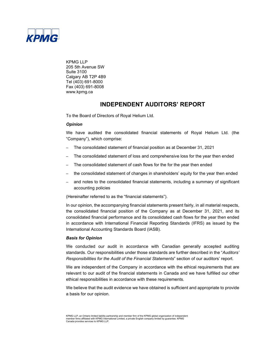

KPMG LLP 205 5th Avenue SW Suite 3100 Calgary AB T2P 4B9 Tel (403) 691-8000 Fax (403) 691-8008 www.kpmg.ca

# **INDEPENDENT AUDITORS' REPORT**

To the Board of Directors of Royal Helium Ltd.

# *Opinion*

We have audited the consolidated financial statements of Royal Helium Ltd. (the "Company"), which comprise:

- The consolidated statement of financial position as at December 31, 2021
- The consolidated statement of loss and comprehensive loss for the year then ended
- The consolidated statement of cash flows for the for the year then ended
- the consolidated statement of changes in shareholders' equity for the year then ended
- and notes to the consolidated financial statements, including a summary of significant accounting policies

(Hereinafter referred to as the "financial statements").

In our opinion, the accompanying financial statements present fairly, in all material respects, the consolidated financial position of the Company as at December 31, 2021, and its consolidated financial performance and its consolidated cash flows for the year then ended in accordance with International Financial Reporting Standards (IFRS) as issued by the International Accounting Standards Board (IASB).

### *Basis for Opinion*

We conducted our audit in accordance with Canadian generally accepted auditing standards. Our responsibilities under those standards are further described in the "*Auditors' Responsibilities for the Audit of the Financial Statements*" section of our auditors' report.

We are independent of the Company in accordance with the ethical requirements that are relevant to our audit of the financial statements in Canada and we have fulfilled our other ethical responsibilities in accordance with these requirements.

We believe that the audit evidence we have obtained is sufficient and appropriate to provide a basis for our opinion.

KPMG LLP, an Ontario limited liability partnership and member firm of the KPMG global organization of independent member firms affiliated with KPMG International Limited, a private English company limited by guarantee. KPMG Canada provides services to KPMG LLP.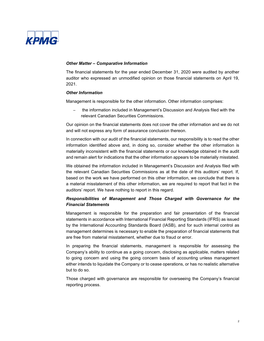

### *Other Matter – Comparative Information*

The financial statements for the year ended December 31, 2020 were audited by another auditor who expressed an unmodified opinion on those financial statements on April 19, 2021.

### *Other Information*

Management is responsible for the other information. Other information comprises:

– the information included in Management's Discussion and Analysis filed with the relevant Canadian Securities Commissions.

Our opinion on the financial statements does not cover the other information and we do not and will not express any form of assurance conclusion thereon.

In connection with our audit of the financial statements, our responsibility is to read the other information identified above and, in doing so, consider whether the other information is materially inconsistent with the financial statements or our knowledge obtained in the audit and remain alert for indications that the other information appears to be materially misstated.

We obtained the information included in Management's Discussion and Analysis filed with the relevant Canadian Securities Commissions as at the date of this auditors' report. If, based on the work we have performed on this other information, we conclude that there is a material misstatement of this other information, we are required to report that fact in the auditors' report. We have nothing to report in this regard.

# *Responsibilities of Management and Those Charged with Governance for the Financial Statements*

Management is responsible for the preparation and fair presentation of the financial statements in accordance with International Financial Reporting Standards (IFRS) as issued by the International Accounting Standards Board (IASB), and for such internal control as management determines is necessary to enable the preparation of financial statements that are free from material misstatement, whether due to fraud or error.

In preparing the financial statements, management is responsible for assessing the Company's ability to continue as a going concern, disclosing as applicable, matters related to going concern and using the going concern basis of accounting unless management either intends to liquidate the Company or to cease operations, or has no realistic alternative but to do so.

Those charged with governance are responsible for overseeing the Company's financial reporting process.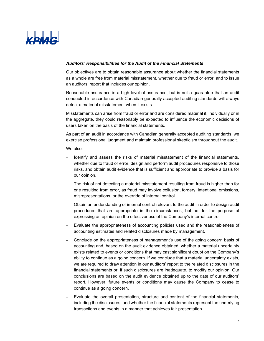

### *Auditors' Responsibilities for the Audit of the Financial Statements*

Our objectives are to obtain reasonable assurance about whether the financial statements as a whole are free from material misstatement, whether due to fraud or error, and to issue an auditors' report that includes our opinion.

Reasonable assurance is a high level of assurance, but is not a guarantee that an audit conducted in accordance with Canadian generally accepted auditing standards will always detect a material misstatement when it exists.

Misstatements can arise from fraud or error and are considered material if, individually or in the aggregate, they could reasonably be expected to influence the economic decisions of users taken on the basis of the financial statements.

As part of an audit in accordance with Canadian generally accepted auditing standards, we exercise professional judgment and maintain professional skepticism throughout the audit.

We also:

– Identify and assess the risks of material misstatement of the financial statements, whether due to fraud or error, design and perform audit procedures responsive to those risks, and obtain audit evidence that is sufficient and appropriate to provide a basis for our opinion.

The risk of not detecting a material misstatement resulting from fraud is higher than for one resulting from error, as fraud may involve collusion, forgery, intentional omissions, misrepresentations, or the override of internal control.

- Obtain an understanding of internal control relevant to the audit in order to design audit procedures that are appropriate in the circumstances, but not for the purpose of expressing an opinion on the effectiveness of the Company's internal control.
- Evaluate the appropriateness of accounting policies used and the reasonableness of accounting estimates and related disclosures made by management.
- Conclude on the appropriateness of management's use of the going concern basis of accounting and, based on the audit evidence obtained, whether a material uncertainty exists related to events or conditions that may cast significant doubt on the Company's ability to continue as a going concern. If we conclude that a material uncertainty exists, we are required to draw attention in our auditors' report to the related disclosures in the financial statements or, if such disclosures are inadequate, to modify our opinion. Our conclusions are based on the audit evidence obtained up to the date of our auditors' report. However, future events or conditions may cause the Company to cease to continue as a going concern.
- Evaluate the overall presentation, structure and content of the financial statements, including the disclosures, and whether the financial statements represent the underlying transactions and events in a manner that achieves fair presentation.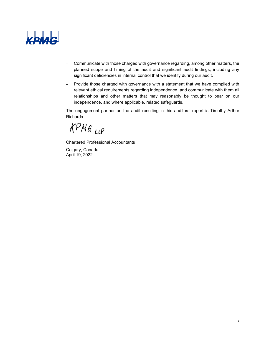

- Communicate with those charged with governance regarding, among other matters, the planned scope and timing of the audit and significant audit findings, including any significant deficiencies in internal control that we identify during our audit.
- Provide those charged with governance with a statement that we have complied with relevant ethical requirements regarding independence, and communicate with them all relationships and other matters that may reasonably be thought to bear on our independence, and where applicable, related safeguards.

The engagement partner on the audit resulting in this auditors' report is Timothy Arthur Richards.

KPMG up

Chartered Professional Accountants

Calgary, Canada April 19, 2022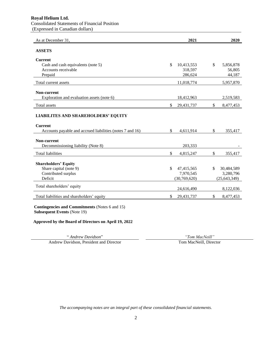# **Royal Helium Ltd.**

# Consolidated Statements of Financial Position

(Expressed in Canadian dollars)

| As at December 31,                                                          | 2021             | 2020             |
|-----------------------------------------------------------------------------|------------------|------------------|
| <b>ASSETS</b>                                                               |                  |                  |
| <b>Current</b>                                                              |                  |                  |
| Cash and cash equivalents (note 5)                                          | \$<br>10,413,553 | \$<br>5,856,878  |
| Accounts receivable                                                         | 318,597          | 56,805           |
| Prepaid                                                                     | 286,624          | 44,187           |
| Total current assets                                                        | 11,018,774       | 5,957,870        |
| Non-current                                                                 |                  |                  |
| Exploration and evaluation assets (note 6)                                  | 18,412,963       | 2,519,583        |
| <b>Total</b> assets                                                         | \$<br>29,431,737 | \$<br>8,477,453  |
| <b>LIABILITES AND SHAREHOLDERS' EQUITY</b>                                  |                  |                  |
| <b>Current</b><br>Accounts payable and accrued liabilities (notes 7 and 16) | \$<br>4,611,914  | \$<br>355,417    |
| Non-current                                                                 |                  |                  |
| Decommissioning liability (Note 8)                                          | 203,333          |                  |
| <b>Total liabilities</b>                                                    | \$<br>4,815,247  | \$<br>355,417    |
|                                                                             |                  |                  |
| <b>Shareholders' Equity</b><br>Share capital (note 9)                       | \$<br>47,415,565 | \$<br>30,484,589 |
| Contributed surplus                                                         | 7,970,545        | 3,280,796        |
| Deficit                                                                     | (30, 769, 620)   | (25, 643, 349)   |
| Total shareholders' equity                                                  |                  |                  |
|                                                                             | 24,616,490       | 8,122,036        |
| Total liabilities and shareholders' equity                                  | \$<br>29,431,737 | \$<br>8,477,453  |
| Contingencies and Commitments (Notes 6 and 15)                              |                  |                  |

**Subsequent Events** (Note 19)

**Approved by the Board of Directors on April 19, 2022**

" *Andrew Davidson*" *"Tom MacNeill"* Andrew Davidson, President and Director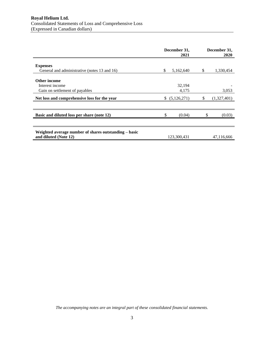|    | December 31,<br>2021 |                                                     | December 31,<br>2020 |
|----|----------------------|-----------------------------------------------------|----------------------|
|    |                      |                                                     | 1,330,454            |
|    |                      |                                                     |                      |
|    |                      |                                                     |                      |
|    |                      |                                                     |                      |
|    | 4,175                |                                                     | 3,053                |
| S. |                      |                                                     | (1,327,401)          |
|    |                      |                                                     |                      |
|    | (0.04)               |                                                     | (0.03)               |
|    |                      |                                                     |                      |
|    |                      |                                                     | 47,116,666           |
|    | \$                   | 5,162,640<br>32,194<br>(5, 126, 271)<br>123,300,431 | S                    |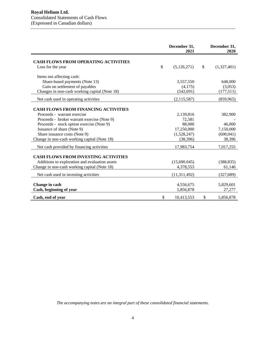|                                                | December 31,<br>2021 | December 31,<br>2020 |
|------------------------------------------------|----------------------|----------------------|
| <b>CASH FLOWS FROM OPERATING ACTIVITIES</b>    |                      |                      |
| Loss for the year                              | \$<br>(5, 126, 271)  | \$<br>(1,327,401)    |
| Items not affecting cash:                      |                      |                      |
| Share-based payments (Note 13)                 | 3,557,550            | 648,000              |
| Gain on settlement of payables                 | (4,175)              | (3,053)              |
| Changes in non-cash working capital (Note 18)  | (542, 691)           | (177,511)            |
| Net cash used in operating activities          | (2, 115, 587)        | (859, 965)           |
|                                                |                      |                      |
| <b>CASH FLOWS FROM FINANCING ACTIVITIES</b>    |                      |                      |
| Proceeds - warrant exercise                    | 2,139,816            | 382,900              |
| Proceeds - broker warrant exercise (Note 9)    | 72,581               |                      |
| Proceeds - stock option exercise (Note 9)      | 88,000               | 46,000               |
| Issuance of share (Note 9)                     | 17,250,000           | 7,150,000            |
| Share issuance costs (Note 9)                  | (1,528,247)          | (600, 041)           |
| Change in non-cash working capital (Note 18)   | (38, 396)            | 38,396               |
| Net cash provided by financing activities      | 17,983,754           | 7,017,255            |
|                                                |                      |                      |
| <b>CASH FLOWS FROM INVESTING ACTIVITIES</b>    |                      |                      |
| Additions to exploration and evaluation assets | (15,690.045)         | (388, 835)           |
| Change in non-cash working capital (Note 18)   | 4,378,553            | 61,146               |
| Net cash used in investing activities          | (11, 311, 492)       | (327, 689)           |
|                                                |                      |                      |
| Change in cash                                 | 4,556,675            | 5,829,601            |
| Cash, beginning of year                        | 5,856,878            | 27,277               |
| Cash, end of year                              | \$<br>10,413,553     | \$<br>5,856,878      |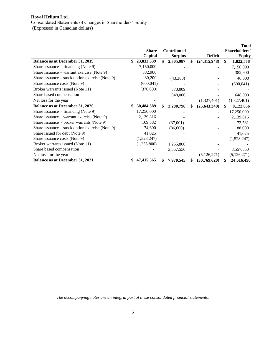|                                                   |                  |                    |                      |               | <b>Total</b>  |
|---------------------------------------------------|------------------|--------------------|----------------------|---------------|---------------|
|                                                   | <b>Share</b>     | <b>Contributed</b> |                      |               | Shareholders' |
|                                                   | Capital          | <b>Surplus</b>     | <b>Deficit</b>       |               | <b>Equity</b> |
| <b>Balance as at December 31, 2019</b>            | \$<br>23,832,539 | \$<br>2,305,987    | \$<br>(24,315,948)   | \$            | 1,822,578     |
| Share issuance - financing (Note 9)               | 7,150,000        |                    |                      |               | 7,150,000     |
| Share issuance – warrant exercise (Note 9)        | 382,900          |                    |                      |               | 382,900       |
| Share issuance $-$ stock option exercise (Note 9) | 89,200           | (43,200)           |                      |               | 46,000        |
| Share issuance costs (Note 9)                     | (600, 041)       |                    |                      |               | (600, 041)    |
| Broker warrants issued (Note 11)                  | (370,009)        | 370,009            |                      |               |               |
| Share based compensation                          |                  | 648,000            |                      |               | 648,000       |
| Net loss for the year                             |                  |                    | (1,327,401)          |               | (1,327,401)   |
| <b>Balance as at December 31, 2020</b>            | \$<br>30,484,589 | \$<br>3,280,796    | \$<br>(25, 643, 349) | <sup>\$</sup> | 8,122,036     |
| Share issuance - financing (Note 9)               | 17,250,000       |                    |                      |               | 17,250,000    |
| Share issuance – warrant exercise (Note 9)        | 2,139,816        |                    |                      |               | 2,139,816     |
| Share issuance - broker warrants (Note 9)         | 109,582          | (37,001)           |                      |               | 72,581        |
| Share issuance – stock option exercise (Note 9)   | 174,600          | (86,600)           |                      |               | 88,000        |
| Share issued for debt (Note 9)                    | 41,025           |                    |                      |               | 41,025        |
| Share issuance costs (Note 9)                     | (1,528,247)      |                    |                      |               | (1,528,247)   |
| Broker warrants issued (Note 11)                  | (1,255,800)      | 1,255,800          |                      |               |               |
| Share based compensation                          |                  | 3,557,550          |                      |               | 3,557,550     |
| Net loss for the year                             |                  |                    | (5, 126, 271)        |               | (5, 126, 271) |
| <b>Balance as at December 31, 2021</b>            | \$<br>47,415,565 | \$<br>7,970,545    | \$<br>(30,769,620)   | \$            | 24,616,490    |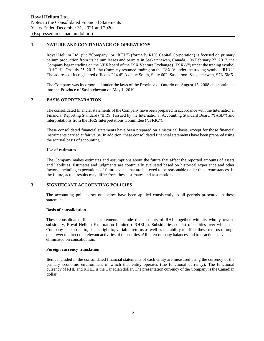# **1. NATURE AND CONTINUANCE OF OPERATIONS**

Royal Helium Ltd. (the "Company" or "RHL") (formerly RHC Capital Corporation) is focused on primary helium production from its helium leases and permits in Saskatchewan, Canada. On February 27, 2017, the Company began trading on the NEX board of the TSX Venture Exchange ("TSX-V") under the trading symbol "RHC.H". On July 25, 2017, the Company resumed trading on the TSX-V under the trading symbol "RHC". The address of its registered office is 224 4<sup>th</sup> Avenue South, Suite 602, Saskatoon, Saskatchewan, S7K 5M5.

The Company was incorporated under the laws of the Province of Ontario on August 15, 2008 and continued into the Province of Saskatchewan on May 1, 2019.

# **2. BASIS OF PREPARATION**

The consolidated financial statements of the Company have been prepared in accordance with the International Financial Reporting Standard ("IFRS") issued by the International Accounting Standard Board ("IASB") and interpretations from the IFRS Interpretations Committee ("IFRIC").

These consolidated financial statements have been prepared on a historical basis, except for those financial instruments carried at fair value. In addition, these consolidated financial statements have been prepared using the accrual basis of accounting.

### **Use of estimates**

The Company makes estimates and assumptions about the future that affect the reported amounts of assets and liabilities. Estimates and judgments are continually evaluated based on historical experience and other factors, including expectations of future events that are believed to be reasonable under the circumstances. In the future, actual results may differ from these estimates and assumptions.

# **3. SIGNIFICANT ACCOUNTING POLICIES**

The accounting policies set out below have been applied consistently to all periods presented in these statements.

### **Basis of consolidation**

These consolidated financial statements include the accounts of RHL together with its wholly owned subsidiary, Royal Helium Exploration Limited ("RHEL"). Subsidiaries consist of entities over which the Company is exposed to, or has right to, variable returns as well as the ability to affect these returns through the power to direct the relevant activities of the entities. All intercompany balances and transactions have been eliminated on consolidation.

### **Foreign currency translation**

Items included in the consolidated financial statements of each entity are measured using the currency of the primary economic environment in which that entity operates (the functional currency). The functional currency of RHL and RHEL is the Canadian dollar. The presentation currency of the Company is the Canadian dollar.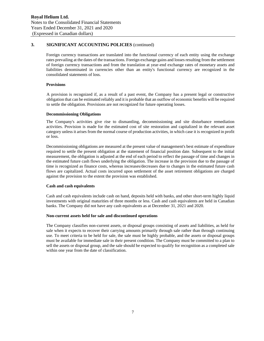Foreign currency transactions are translated into the functional currency of each entity using the exchange rates prevailing at the dates of the transactions. Foreign exchange gains and losses resulting from the settlement of foreign currency transactions and from the translation at year-end exchange rates of monetary assets and liabilities denominated in currencies other than an entity's functional currency are recognized in the consolidated statements of loss.

### **Provisions**

A provision is recognized if, as a result of a past event, the Company has a present legal or constructive obligation that can be estimated reliably and it is probable that an outflow of economic benefits will be required to settle the obligation. Provisions are not recognized for future operating losses.

### **Decommissioning Obligations**

The Company's activities give rise to dismantling, decommissioning and site disturbance remediation activities. Provision is made for the estimated cost of site restoration and capitalized in the relevant asset category unless it arises from the normal course of production activities, in which case it is recognized in profit or loss.

Decommissioning obligations are measured at the present value of management's best estimate of expenditure required to settle the present obligation at the statement of financial position date. Subsequent to the initial measurement, the obligation is adjusted at the end of each period to reflect the passage of time and changes in the estimated future cash flows underlying the obligation. The increase in the provision due to the passage of time is recognized as finance costs, whereas increases/decreases due to changes in the estimated future cash flows are capitalized. Actual costs incurred upon settlement of the asset retirement obligations are charged against the provision to the extent the provision was established.

### **Cash and cash equivalents**

Cash and cash equivalents include cash on hand, deposits held with banks, and other short-term highly liquid investments with original maturities of three months or less. Cash and cash equivalents are held in Canadian banks. The Company did not have any cash equivalents as at December 31, 2021 and 2020.

### **Non-current assets held for sale and discontinued operations**

The Company classifies non-current assets, or disposal groups consisting of assets and liabilities, as held for sale when it expects to recover their carrying amounts primarily through sale rather than through continuing use. To meet criteria to be held for sale, the sale must be highly probable, and the assets or disposal groups must be available for immediate sale in their present condition. The Company must be committed to a plan to sell the assets or disposal group, and the sale should be expected to qualify for recognition as a completed sale within one year from the date of classification.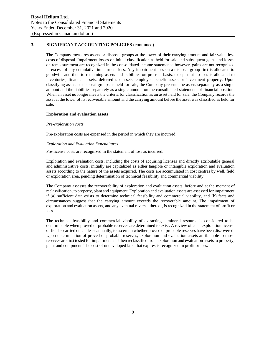The Company measures assets or disposal groups at the lower of their carrying amount and fair value less costs of disposal. Impairment losses on initial classification as held for sale and subsequent gains and losses on remeasurement are recognized in the consolidated income statements; however, gains are not recognized in excess of any cumulative impairment loss. Any impairment loss on a disposal group first is allocated to goodwill, and then to remaining assets and liabilities on pro rata basis, except that no loss is allocated to inventories, financial assets, deferred tax assets, employee benefit assets or investment property. Upon classifying assets or disposal groups as held for sale, the Company presents the assets separately as a single amount and the liabilities separately as a single amount on the consolidated statements of financial position. When an asset no longer meets the criteria for classification as an asset held for sale, the Company records the asset at the lower of its recoverable amount and the carrying amount before the asset was classified as held for sale.

### **Exploration and evaluation assets**

### *Pre-exploration costs*

Pre-exploration costs are expensed in the period in which they are incurred.

### *Exploration and Evaluation Expenditures*

Pre-license costs are recognized in the statement of loss as incurred.

Exploration and evaluation costs, including the costs of acquiring licenses and directly attributable general and administrative costs, initially are capitalized as either tangible or intangible exploration and evaluation assets according to the nature of the assets acquired. The costs are accumulated in cost centres by well, field or exploration area, pending determination of technical feasibility and commercial viability.

The Company assesses the recoverability of exploration and evaluation assets, before and at the moment of reclassification, to property, plant and equipment. Exploration and evaluation assets are assessed for impairment if (a) sufficient data exists to determine technical feasibility and commercial viability, and (b) facts and circumstances suggest that the carrying amount exceeds the recoverable amount. The impairment of exploration and evaluation assets, and any eventual reversal thereof, is recognized in the statement of profit or loss.

The technical feasibility and commercial viability of extracting a mineral resource is considered to be determinable when proved or probable reserves are determined to exist. A review of each exploration license or field is carried out, at least annually, to ascertain whether proved or probable reserves have been discovered. Upon determination of proved or probable reserves, exploration and evaluation assets attributable to those reserves are first tested for impairment and then reclassified from exploration and evaluation assets to property, plant and equipment. The cost of undeveloped land that expires is recognized in profit or loss.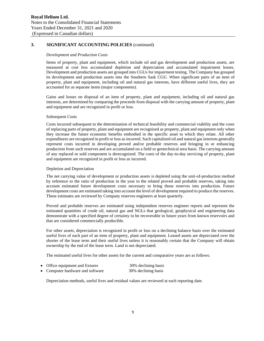#### *Development and Production Costs*

Items of property, plant and equipment, which include oil and gas development and production assets, are measured at cost less accumulated depletion and depreciation and accumulated impairment losses. Development and production assets are grouped into CGUs for impairment testing. The Company has grouped its development and production assets into the Southern Sask CGU. When significant parts of an item of property, plant and equipment, including oil and natural gas interests, have different useful lives, they are accounted for as separate items (major components).

Gains and losses on disposal of an item of property, plant and equipment, including oil and natural gas interests, are determined by comparing the proceeds from disposal with the carrying amount of property, plant and equipment and are recognized in profit or loss.

#### Subsequent Costs

Costs incurred subsequent to the determination of technical feasibility and commercial viability and the costs of replacing parts of property, plant and equipment are recognized as property, plant and equipment only when they increase the future economic benefits embodied in the specific asset to which they relate. All other expenditures are recognized in profit or loss as incurred. Such capitalized oil and natural gas interests generally represent costs incurred in developing proved and/or probable reserves and bringing in or enhancing production from such reserves and are accumulated on a field or geotechnical area basis. The carrying amount of any replaced or sold component is derecognized. The costs of the day-to-day servicing of property, plant and equipment are recognized in profit or loss as incurred.

#### Depletion and Depreciation

The net carrying value of development or production assets is depleted using the unit-of-production method by reference to the ratio of production in the year to the related proved and probable reserves, taking into account estimated future development costs necessary to bring those reserves into production. Future development costs are estimated taking into account the level of development required to produce the reserves. These estimates are reviewed by Company reserves engineers at least quarterly.

Proved and probable reserves are estimated using independent reserves engineer reports and represent the estimated quantities of crude oil, natural gas and NGLs that geological, geophysical and engineering data demonstrate with a specified degree of certainty to be recoverable in future years from known reservoirs and that are considered commercially producible.

For other assets, depreciation is recognized in profit or loss on a declining balance basis over the estimated useful lives of each part of an item of property, plant and equipment. Leased assets are depreciated over the shorter of the lease term and their useful lives unless it is reasonably certain that the Company will obtain ownership by the end of the lease term. Land is not depreciated.

The estimated useful lives for other assets for the current and comparative years are as follows:

| • Office equipment and fixtures  | 30% declining basis |
|----------------------------------|---------------------|
| • Computer hardware and software | 30% declining basis |

Depreciation methods, useful lives and residual values are reviewed at each reporting date.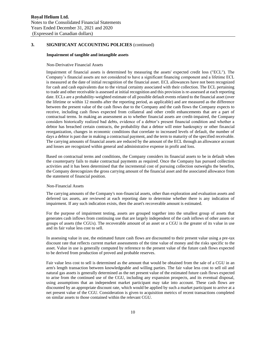### **Impairment of tangible and intangible assets**

#### Non-Derivative Financial Assets

Impairment of financial assets is determined by measuring the assets' expected credit loss ("ECL"). The Company's financial assets are not considered to have a significant financing component and a lifetime ECL is measured at the date of initial recognition of the financial asset. ECL allowances have not been recognized for cash and cash equivalents due to the virtual certainty associated with their collection. The ECL pertaining to trade and other receivable is assessed at initial recognition and this provision is re-assessed at each reporting date. ECLs are a probability-weighted estimate of all possible default events related to the financial asset (over the lifetime or within 12 months after the reporting period, as applicable) and are measured as the difference between the present value of the cash flows due to the Company and the cash flows the Company expects to receive, including cash flows expected from collateral and other credit enhancements that are a part of contractual terms. In making an assessment as to whether financial assets are credit-impaired, the Company considers historically realized bad debts, evidence of a debtor's present financial condition and whether a debtor has breached certain contracts, the probability that a debtor will enter bankruptcy or other financial reorganization, changes in economic conditions that correlate to increased levels of default, the number of days a debtor is past due in making a contractual payment, and the term to maturity of the specified receivable. The carrying amounts of financial assets are reduced by the amount of the ECL through an allowance account and losses are recognized within general and administrative expense in profit and loss.

Based on contractual terms and conditions, the Company considers its financial assets to be in default when the counterparty fails to make contractual payments as required. Once the Company has pursued collection activities and it has been determined that the incremental cost of pursuing collection outweighs the benefits, the Company derecognizes the gross carrying amount of the financial asset and the associated allowance from the statement of financial position.

### Non-Financial Assets

The carrying amounts of the Company's non-financial assets, other than exploration and evaluation assets and deferred tax assets, are reviewed at each reporting date to determine whether there is any indication of impairment. If any such indication exists, then the asset's recoverable amount is estimated.

For the purpose of impairment testing, assets are grouped together into the smallest group of assets that generates cash inflows from continuing use that are largely independent of the cash inflows of other assets or groups of assets (the CGUs). The recoverable amount of an asset or a CGU is the greater of its value in use and its fair value less cost to sell.

In assessing value in use, the estimated future cash flows are discounted to their present value using a pre-tax discount rate that reflects current market assessments of the time value of money and the risks specific to the asset. Value in use is generally computed by reference to the present value of the future cash flows expected to be derived from production of proved and probable reserves.

Fair value less cost to sell is determined as the amount that would be obtained from the sale of a CGU in an arm's length transaction between knowledgeable and willing parties. The fair value less cost to sell oil and natural gas assets is generally determined as the net present value of the estimated future cash flows expected to arise from the continued use of the CGU, including any expansion prospects, and its eventual disposal, using assumptions that an independent market participant may take into account. These cash flows are discounted by an appropriate discount rate, which would be applied by such a market participant to arrive at a net present value of the CGU. Consideration is given to acquisition metrics of recent transactions completed on similar assets to those contained within the relevant CGU.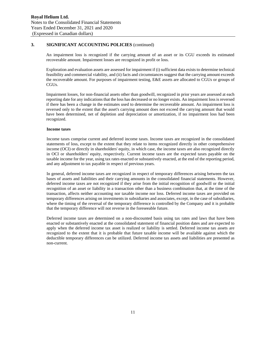An impairment loss is recognized if the carrying amount of an asset or its CGU exceeds its estimated recoverable amount. Impairment losses are recognized in profit or loss.

Exploration and evaluation assets are assessed for impairment if (i) sufficient data exists to determine technical feasibility and commercial viability, and (ii) facts and circumstances suggest that the carrying amount exceeds the recoverable amount. For purposes of impairment testing, E&E assets are allocated to CGUs or groups of CGUs.

Impairment losses, for non-financial assets other than goodwill, recognized in prior years are assessed at each reporting date for any indications that the loss has decreased or no longer exists. An impairment loss is reversed if there has been a change in the estimates used to determine the recoverable amount. An impairment loss is reversed only to the extent that the asset's carrying amount does not exceed the carrying amount that would have been determined, net of depletion and depreciation or amortization, if no impairment loss had been recognized.

### **Income taxes**

Income taxes comprise current and deferred income taxes. Income taxes are recognized in the consolidated statements of loss, except to the extent that they relate to items recognized directly in other comprehensive income (OCI) or directly in shareholders' equity, in which case, the income taxes are also recognized directly in OCI or shareholders' equity, respectively. Current income taxes are the expected taxes payable on the taxable income for the year, using tax rates enacted or substantively enacted, at the end of the reporting period, and any adjustment to tax payable in respect of previous years.

In general, deferred income taxes are recognized in respect of temporary differences arising between the tax bases of assets and liabilities and their carrying amounts in the consolidated financial statements. However, deferred income taxes are not recognized if they arise from the initial recognition of goodwill or the initial recognition of an asset or liability in a transaction other than a business combination that, at the time of the transaction, affects neither accounting nor taxable income nor loss. Deferred income taxes are provided on temporary differences arising on investments in subsidiaries and associates, except, in the case of subsidiaries, where the timing of the reversal of the temporary difference is controlled by the Company and it is probable that the temporary difference will not reverse in the foreseeable future.

Deferred income taxes are determined on a non-discounted basis using tax rates and laws that have been enacted or substantively enacted at the consolidated statement of financial position dates and are expected to apply when the deferred income tax asset is realized or liability is settled. Deferred income tax assets are recognized to the extent that it is probable that future taxable income will be available against which the deductible temporary differences can be utilized. Deferred income tax assets and liabilities are presented as non-current.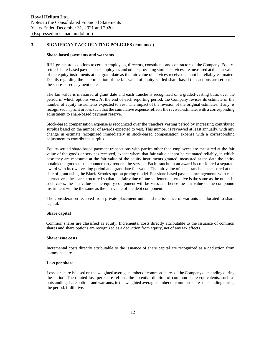### **Share-based payments and warrants**

RHL grants stock options to certain employees, directors, consultants and contractors of the Company. Equitysettled share-based payments to employees and others providing similar services are measured at the fair value of the equity instruments at the grant date as the fair value of services received cannot be reliably estimated. Details regarding the determination of the fair value of equity-settled share-based transactions are set out in the share-based payment note.

The fair value is measured at grant date and each tranche is recognized on a graded-vesting basis over the period in which options vest. At the end of each reporting period, the Company revises its estimate of the number of equity instruments expected to vest. The impact of the revision of the original estimates, if any, is recognized in profit or loss such that the cumulative expense reflects the revised estimate, with a corresponding adjustment to share-based payment reserve.

Stock-based compensation expense is recognized over the tranche's vesting period by increasing contributed surplus based on the number of awards expected to vest. This number is reviewed at least annually, with any change in estimate recognized immediately in stock-based compensation expense with a corresponding adjustment to contributed surplus.

Equity-settled share-based payment transactions with parties other than employees are measured at the fair value of the goods or services received, except where that fair value cannot be estimated reliably, in which case they are measured at the fair value of the equity instruments granted, measured at the date the entity obtains the goods or the counterparty renders the service. Each tranche in an award is considered a separate award with its own vesting period and grant date fair value. The fair value of each tranche is measured at the date of grant using the Black-Scholes option pricing model. For share based payment arrangements with cash alternatives, these are structured so that the fair value of one settlement alternative is the same as the other. In such cases, the fair value of the equity component will be zero, and hence the fair value of the compound instrument will be the same as the fair value of the debt component.

The consideration received from private placement units and the issuance of warrants is allocated to share capital.

### **Share capital**

Common shares are classified as equity. Incremental costs directly attributable to the issuance of common shares and share options are recognized as a deduction from equity, net of any tax effects.

#### **Share issue costs**

Incremental costs directly attributable to the issuance of share capital are recognized as a deduction from common shares.

#### **Loss per share**

Loss per share is based on the weighted average number of common shares of the Company outstanding during the period. The diluted loss per share reflects the potential dilution of common share equivalents, such as outstanding share options and warrants, in the weighted average number of common shares outstanding during the period, if dilutive.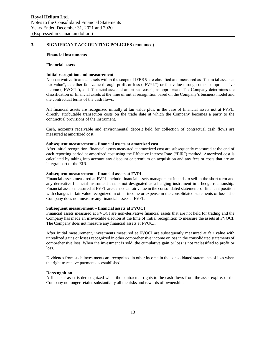#### **Financial instruments**

#### **Financial assets**

### **Initial recognition and measurement**

Non-derivative financial assets within the scope of IFRS 9 are classified and measured as "financial assets at fair value", as either fair value through profit or loss ("FVPL") or fair value through other comprehensive income ("FVOCI"), and "financial assets at amortized costs", as appropriate. The Company determines the classification of financial assets at the time of initial recognition based on the Company's business model and the contractual terms of the cash flows.

All financial assets are recognized initially at fair value plus, in the case of financial assets not at FVPL, directly attributable transaction costs on the trade date at which the Company becomes a party to the contractual provisions of the instrument.

Cash, accounts receivable and environmental deposit held for collection of contractual cash flows are measured at amortized cost.

#### **Subsequent measurement – financial assets at amortized cost**

After initial recognition, financial assets measured at amortized cost are subsequently measured at the end of each reporting period at amortized cost using the Effective Interest Rate ("EIR") method. Amortized cost is calculated by taking into account any discount or premium on acquisition and any fees or costs that are an integral part of the EIR.

### **Subsequent measurement – financial assets at FVPL**

Financial assets measured at FVPL include financial assets management intends to sell in the short term and any derivative financial instrument that is not designated as a hedging instrument in a hedge relationship. Financial assets measured at FVPL are carried at fair value in the consolidated statements of financial position with changes in fair value recognized in other income or expense in the consolidated statements of loss. The Company does not measure any financial assets at FVPL.

### **Subsequent measurement – financial assets at FVOCI**

Financial assets measured at FVOCI are non-derivative financial assets that are not held for trading and the Company has made an irrevocable election at the time of initial recognition to measure the assets at FVOCI. The Company does not measure any financial assets at FVOCI.

After initial measurement, investments measured at FVOCI are subsequently measured at fair value with unrealized gains or losses recognized in other comprehensive income or loss in the consolidated statements of comprehensive loss. When the investment is sold, the cumulative gain or loss is not reclassified to profit or loss.

Dividends from such investments are recognized in other income in the consolidated statements of loss when the right to receive payments is established.

### **Derecognition**

A financial asset is derecognized when the contractual rights to the cash flows from the asset expire, or the Company no longer retains substantially all the risks and rewards of ownership.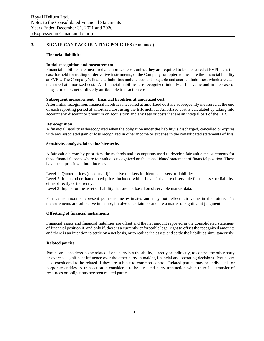### **Financial liabilities**

#### **Initial recognition and measurement**

Financial liabilities are measured at amortized cost, unless they are required to be measured at FVPL as is the case for held for trading or derivative instruments, or the Company has opted to measure the financial liability at FVPL. The Company's financial liabilities include accounts payable and accrued liabilities, which are each measured at amortized cost. All financial liabilities are recognized initially at fair value and in the case of long-term debt, net of directly attributable transaction costs.

#### **Subsequent measurement – financial liabilities at amortized cost**

After initial recognition, financial liabilities measured at amortized cost are subsequently measured at the end of each reporting period at amortized cost using the EIR method. Amortized cost is calculated by taking into account any discount or premium on acquisition and any fees or costs that are an integral part of the EIR.

#### **Derecognition**

A financial liability is derecognized when the obligation under the liability is discharged, cancelled or expires with any associated gain or loss recognized in other income or expense in the consolidated statements of loss.

#### **Sensitivity analysis-fair value hierarchy**

A fair value hierarchy prioritizes the methods and assumptions used to develop fair value measurements for those financial assets where fair value is recognized on the consolidated statement of financial position. These have been prioritized into three levels:

Level 1: Quoted prices (unadjusted) in active markets for identical assets or liabilities. Level 2: Inputs other than quoted prices included within Level 1 that are observable for the asset or liability, either directly or indirectly.

Level 3: Inputs for the asset or liability that are not based on observable market data.

Fair value amounts represent point-in-time estimates and may not reflect fair value in the future. The measurements are subjective in nature, involve uncertainties and are a matter of significant judgment.

#### **Offsetting of financial instruments**

Financial assets and financial liabilities are offset and the net amount reported in the consolidated statement of financial position if, and only if, there is a currently enforceable legal right to offset the recognized amounts and there is an intention to settle on a net basis, or to realize the assets and settle the liabilities simultaneously.

#### **Related parties**

Parties are considered to be related if one party has the ability, directly or indirectly, to control the other party or exercise significant influence over the other party in making financial and operating decisions. Parties are also considered to be related if they are subject to common control. Related parties may be individuals or corporate entities. A transaction is considered to be a related party transaction when there is a transfer of resources or obligations between related parties.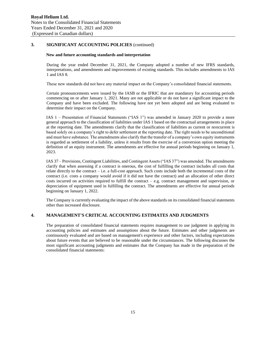### **New and future accounting standards and interpretation**

During the year ended December 31, 2021, the Company adopted a number of new IFRS standards, interpretations, and amendments and improvements of existing standards. This includes amendments to IAS 1 and IAS 8.

These new standards did not have any material impact on the Company's consolidated financial statements.

Certain pronouncements were issued by the IASB or the IFRIC that are mandatory for accounting periods commencing on or after January 1, 2021. Many are not applicable or do not have a significant impact to the Company and have been excluded. The following have not yet been adopted and are being evaluated to determine their impact on the Company.

IAS 1 – Presentation of Financial Statements ("IAS 1") was amended in January 2020 to provide a more general approach to the classification of liabilities under IAS 1 based on the contractual arrangements in place at the reporting date. The amendments clarify that the classification of liabilities as current or noncurrent is based solely on a company's right to defer settlement at the reporting date. The right needs to be unconditional and must have substance. The amendments also clarify that the transfer of a company's own equity instruments is regarded as settlement of a liability, unless it results from the exercise of a conversion option meeting the definition of an equity instrument. The amendments are effective for annual periods beginning on January 1, 2023.

IAS 37 – Provisions, Contingent Liabilities, and Contingent Assets ("IAS 37") was amended. The amendments clarify that when assessing if a contract is onerous, the cost of fulfilling the contract includes all costs that relate directly to the contract – i.e. a full-cost approach. Such costs include both the incremental costs of the contract (i.e. costs a company would avoid if it did not have the contract) and an allocation of other direct costs incurred on activities required to fulfill the contract – e.g. contract management and supervision, or depreciation of equipment used in fulfilling the contract. The amendments are effective for annual periods beginning on January 1, 2022.

The Company is currently evaluating the impact of the above standards on its consolidated financial statements other than increased disclosure.

### **4. MANAGEMENT'S CRITICAL ACCOUNTING ESTIMATES AND JUDGMENTS**

The preparation of consolidated financial statements requires management to use judgment in applying its accounting policies and estimates and assumptions about the future. Estimates and other judgments are continuously evaluated and are based on management's experience and other factors, including expectations about future events that are believed to be reasonable under the circumstances. The following discusses the most significant accounting judgments and estimates that the Company has made in the preparation of the consolidated financial statements: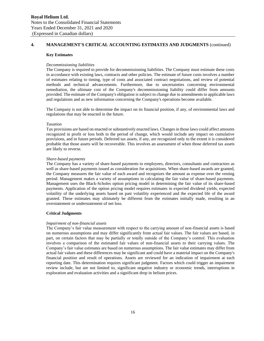# **4. MANAGEMENT'S CRITICAL ACCOUNTING ESTIMATES AND JUDGMENTS** (continued)

#### **Key Estimates**

### *Decommissioning liabilities*

The Company is required to provide for decommissioning liabilities. The Company must estimate these costs in accordance with existing laws, contracts and other policies. The estimate of future costs involves a number of estimates relating to timing, type of costs and associated contract negotiations, and review of potential methods and technical advancements. Furthermore, due to uncertainties concerning environmental remediation, the ultimate cost of the Company's decommissioning liability could differ from amounts provided. The estimate of the Company's obligation is subject to change due to amendments to applicable laws and regulations and as new information concerning the Company's operations become available.

The Company is not able to determine the impact on its financial position, if any, of environmental laws and regulations that may be enacted in the future.

#### *Taxation*

Tax provisions are based on enacted or substantively enacted laws. Changes in those laws could affect amounts recognized in profit or loss both in the period of change, which would include any impact on cumulative provisions, and in future periods. Deferred tax assets, if any, are recognized only to the extent it is considered probable that those assets will be recoverable. This involves an assessment of when those deferred tax assets are likely to reverse.

### *Share-based payments*

The Company has a variety of share-based payments to employees, directors, consultants and contractors as well as share-based payments issued as consideration for acquisitions. When share-based awards are granted, the Company measures the fair value of each award and recognizes the amount as expense over the vesting period. Management makes a variety of assumptions in calculating the fair value of share-based payments. Management uses the Black-Scholes option pricing model in determining the fair value of its share-based payments. Application of the option pricing model requires estimates in expected dividend yields, expected volatility of the underlying assets based on past volatility experienced and the expected life of the award granted. These estimates may ultimately be different from the estimates initially made, resulting in an overstatement or understatement of net loss.

### **Critical Judgments**

#### *Impairment of non-financial assets*

The Company's fair value measurement with respect to the carrying amount of non-financial assets is based on numerous assumptions and may differ significantly from actual fair values. The fair values are based, in part, on certain factors that may be partially or totally outside of the Company's control. This evaluation involves a comparison of the estimated fair values of non-financial assets to their carrying values. The Company's fair value estimates are based on numerous assumptions. The fair value estimates may differ from actual fair values and these differences may be significant and could have a material impact on the Company's financial position and result of operations. Assets are reviewed for an indication of impairment at each reporting date. This determination requires significant judgment. Factors which could trigger an impairment review include, but are not limited to, significant negative industry or economic trends, interruptions in exploration and evaluation activities and a significant drop in helium prices.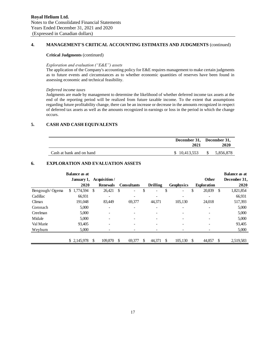# **4. MANAGEMENT'S CRITICAL ACCOUNTING ESTIMATES AND JUDGMENTS** (continued)

### **Critical Judgments** (continued)

### *Exploration and evaluation ("E&E") assets*

The application of the Company's accounting policy for E&E requires management to make certain judgments as to future events and circumstances as to whether economic quantities of reserves have been found in assessing economic and technical feasibility.

### *Deferred income taxes*

Judgments are made by management to determine the likelihood of whether deferred income tax assets at the end of the reporting period will be realized from future taxable income. To the extent that assumptions regarding future profitability change, there can be an increase or decrease in the amounts recognized in respect of deferred tax assets as well as the amounts recognized in earnings or loss in the period in which the change occurs.

### **5. CASH AND CASH EQUIVALENTS**

|                          | December 31, December 31,<br>2021 | 2020      |
|--------------------------|-----------------------------------|-----------|
| Cash at bank and on hand | \$10.413.553                      | 5,856,878 |

# **6. EXPLORATION AND EVALUATION ASSETS**

|                | <b>Balance as at</b> |                 |    |                              |                 |    |            |     |                    |               | <b>Balance as at</b> |
|----------------|----------------------|-----------------|----|------------------------------|-----------------|----|------------|-----|--------------------|---------------|----------------------|
|                | January 1,           | Acquisition /   |    |                              |                 |    |            |     | Other              |               | December 31,         |
|                | 2020                 | <b>Renewals</b> |    | <b>Consultants</b>           | <b>Drilling</b> |    | Geophysics |     | <b>Exploration</b> |               | 2020                 |
| Bengough/Ogema | \$1,774,594          | \$<br>26,421    | S  | $\qquad \qquad \blacksquare$ | \$              | \$ |            | \$  | 20,839             | <sup>\$</sup> | 1,821,854            |
| Cadillac       | 66,931               |                 |    | ۰                            |                 |    |            |     |                    |               | 66,931               |
| Climax         | 191,048              | 83.449          |    | 69,377                       | 44,371          |    | 105,130    |     | 24,018             |               | 517,393              |
| Coronach       | 5,000                |                 |    | -                            |                 |    | ۰          |     |                    |               | 5,000                |
| Creelman       | 5,000                |                 |    |                              |                 |    |            |     |                    |               | 5,000                |
| Midale         | 5,000                |                 |    | -                            |                 |    |            |     |                    |               | 5,000                |
| Val Marie      | 93,405               |                 |    |                              |                 |    |            |     |                    |               | 93,405               |
| Weyburn        | 5,000                |                 |    |                              |                 |    |            |     |                    |               | 5,000                |
|                |                      |                 |    |                              |                 |    |            |     |                    |               |                      |
|                | \$2,145,978          | 109,870         | £. | 69,377                       | 44,371          | S. | 105,130    | \$. | 44,857             | -S            | 2,519,583            |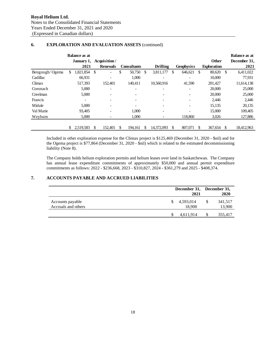|                |    | <b>Balance as at</b> |                                |    |                    |                 |                   |                    |      | <b>Balance as at</b> |
|----------------|----|----------------------|--------------------------------|----|--------------------|-----------------|-------------------|--------------------|------|----------------------|
|                |    | January 1,           | Acquisition/                   |    |                    |                 |                   | <b>Other</b>       |      | December 31,         |
|                |    | 2021                 | <b>Renewals</b>                |    | <b>Consultants</b> | <b>Drilling</b> | <b>Geophysics</b> | <b>Exploration</b> |      | 2021                 |
| Bengough/Ogema | \$ | 1,821,854            | \$<br>$\overline{\phantom{0}}$ | \$ | 50,750             | \$<br>3,811,177 | \$<br>646,621     | \$<br>80,620       | - \$ | 6,411,022            |
| Cadillac       |    | 66,931               | $\overline{\phantom{a}}$       |    | 1,000              | -               |                   | 10,000             |      | 77,931               |
| Climax         |    | 517,393              | 152,401                        |    | 140,411            | 10,560,916      | 41,590            | 201,427            |      | 11,614,138           |
| Coronach       |    | 5,000                | $\overline{\phantom{a}}$       |    |                    |                 |                   | 20,000             |      | 25,000               |
| Creelman       |    | 5,000                |                                |    |                    |                 |                   | 20,000             |      | 25,000               |
| Francis        |    |                      | $\overline{\phantom{a}}$       |    |                    |                 |                   | 2,446              |      | 2,446                |
| Midale         |    | 5.000                | $\overline{\phantom{0}}$       |    |                    |                 |                   | 15,135             |      | 20,135               |
| Val Marie      |    | 93,405               | $\overline{\phantom{0}}$       |    | 1,000              |                 |                   | 15,000             |      | 109,405              |
| Weyburn        |    | 5,000                |                                |    | 1,000              |                 | 118,860           | 3,026              |      | 127,886              |
|                |    |                      |                                |    |                    |                 |                   |                    |      |                      |
|                | S. | 2,519,583            | \$<br>152,401                  | S  | 194.161            | 14.372.093      | \$<br>807,071     | \$<br>367,654      |      | 18,412,963           |

# **6. EXPLORATION AND EVALUATION ASSETS** (continued)

Included in other exploration expense for the Climax project is \$125,469 (December 31, 2020 - \$nil) and for the Ogema project is \$77,864 (December 31, 2020 - \$nil) which is related to the estimated decommissioning liability (Note 8).

The Company holds helium exploration permits and helium leases over land in Saskatchewan. The Company has annual lease expenditure commitments of approximately \$50,000 and annual permit expenditure commitments as follows: 2022 - \$236,668, 2023 - \$310,827, 2024 - \$361,279 and 2025 - \$408,374.

# **7. ACCOUNTS PAYABLE AND ACCRUED LIABILITIES**

|                                         |           | 2021   |   | December 31, December 31,<br>2020 |
|-----------------------------------------|-----------|--------|---|-----------------------------------|
| Accounts payable<br>Accruals and others | 4,593,014 | 18,900 | S | 341,517<br>13,900                 |
|                                         | 4,611,914 |        |   | 355,417                           |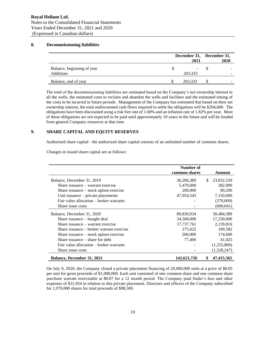# **8. Decommissioning liabilities**

|                                                | December 31, December 31,<br>2021 | 2020                     |
|------------------------------------------------|-----------------------------------|--------------------------|
| Balance, beginning of year<br><b>Additions</b> | 203,333                           |                          |
| Balance, end of year                           | 203.333                           | $\overline{\phantom{a}}$ |

The total of the decommissioning liabilities are estimated based on the Company's net ownership interest in all the wells, the estimated costs to reclaim and abandon the wells and facilities and the estimated timing of the costs to be incurred in future periods. Management of the Company has estimated that based on their net ownership interest, the total undiscounted cash flows required to settle the obligations will be \$204,600. The obligations have been discounted using a risk free rate of 1.68% and an inflation rate of 1.82% per year. Most of these obligations are not expected to be paid until approximately 10 years in the future and will be funded from general Company resources at that time.

# **9. SHARE CAPITAL AND EQUITY RESERVES**

Authorized share capital - the authorized share capital consists of an unlimited number of common shares.

Changes in issued share capital are as follows:

|                                          | Number of     |     |             |
|------------------------------------------|---------------|-----|-------------|
|                                          | common shares |     | Amount      |
| Balance, December 31, 2019               | 36,206,389    | \$. | 23,832,539  |
| Share issuance – warrant exercise        | 5,470,000     |     | 382,900     |
| Share issuance $-$ stock option exercise | 200,000       |     | 89,200      |
| Unit issuance – private placements       | 47,954,545    |     | 7,150,000   |
| Fair value allocation – broker warrants  |               |     | (370,009)   |
| Share issue costs                        |               |     | (600, 041)  |
| Balance, December 31, 2020               | 89,830,934    |     | 30,484,589  |
| Share issuance $-$ bought deal           | 34,500,000    |     | 17,250,000  |
| Share issuance – warrant exercise        | 17,737,761    |     | 2,139,816   |
| Share issuance – broker warrant exercise | 275,625       |     | 109,582     |
| Share issuance – stock option exercise   | 200,000       |     | 174,600     |
| Share issuance $-$ share for debt        | 77,406        |     | 41,025      |
| Fair value allocation – broker warrants  |               |     | (1,255,800) |
| Share issue costs                        |               |     | (1,528,247) |
| <b>Balance, December 31, 2021</b>        | 142,621,726   | \$  | 47,415,565  |

On July 9, 2020, the Company closed a private placement financing of 20,000,000 units at a price of \$0.05 per unit for gross proceeds of \$1,000,000. Each unit consisted of one common share and one common share purchase warrant exercisable at \$0.07 for a 12 month period. The Company paid finder's fees and other expenses of \$31,954 in relation to this private placement. Directors and officers of the Company subscribed for 1,970,000 shares for total proceeds of \$98,500.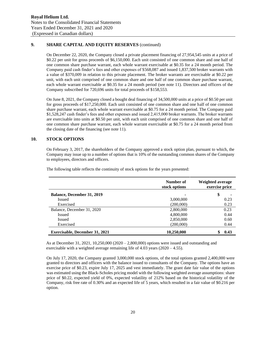# **9. SHARE CAPITAL AND EQUITY RESERVES** (continued)

On December 22, 2020, the Company closed a private placement financing of 27,954,545 units at a price of \$0.22 per unit for gross proceeds of \$6,150,000. Each unit consisted of one common share and one half of one common share purchase warrant, each whole warrant exercisable at \$0.35 for a 24 month period. The Company paid cash finder's fees and other expenses of \$568,087 and issued 1,837,500 broker warrants with a value of \$370,009 in relation to this private placement. The broker warrants are exercisable at \$0.22 per unit, with each unit comprised of one common share and one half of one common share purchase warrant, each whole warrant exercisable at \$0.35 for a 24 month period (see note 11). Directors and officers of the Company subscribed for 720,696 units for total proceeds of \$158,553.

On June 8, 2021, the Company closed a bought deal financing of 34,500,000 units at a price of \$0.50 per unit for gross proceeds of \$17,250,000. Each unit consisted of one common share and one half of one common share purchase warrant, each whole warrant exercisable at \$0.75 for a 24 month period. The Company paid \$1,528,247 cash finder's fees and other expenses and issued 2,415,000 broker warrants. The broker warrants are exercisable into units at \$0.50 per unit, with each unit comprised of one common share and one half of one common share purchase warrant, each whole warrant exercisable at \$0.75 for a 24 month period from the closing date of the financing (see note 11).

### **10. STOCK OPTIONS**

On February 3, 2017, the shareholders of the Company approved a stock option plan, pursuant to which, the Company may issue up to a number of options that is 10% of the outstanding common shares of the Company to employees, directors and officers.

|                                       | Number of<br>stock options | Weighted average<br>exercise price |
|---------------------------------------|----------------------------|------------------------------------|
| <b>Balance, December 31, 2019</b>     |                            | \$                                 |
| Issued                                | 3,000,000                  | 0.23                               |
| Exercised                             | (200,000)                  | 0.23                               |
| Balance, December 31, 2020            | 2,800,000                  | 0.23                               |
| <b>Issued</b>                         | 4,800,000                  | 0.44                               |
| <b>Issued</b>                         | 2,850,000                  | 0.60                               |
| Exercised                             | (200,000)                  | 0.44                               |
| <b>Exercisable, December 31, 2021</b> | 10,250,000                 | 0.43                               |

The following table reflects the continuity of stock options for the years presented:

As at December 31, 2021, 10,250,000 (2020 – 2,800,000) options were issued and outstanding and exercisable with a weighted average remaining life of 4.03 years (2020 – 4.55).

On July 17, 2020, the Company granted 3,000,000 stock options, of the total options granted 2,400,000 were granted to directors and officers with the balance issued to consultants of the Company. The options have an exercise price of \$0.23, expire July 17, 2025 and vest immediately. The grant date fair value of the options was estimated using the Black-Scholes pricing model with the following weighted average assumptions: share price of \$0.22, expected yield of 0%, expected volatility of 212% based on the historical volatility of the Company, risk free rate of 0.30% and an expected life of 5 years, which resulted in a fair value of \$0.216 per option.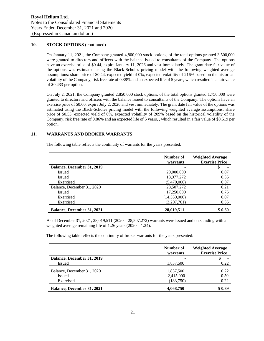# **10. STOCK OPTIONS** (continued)

On January 11, 2021, the Company granted 4,800,000 stock options, of the total options granted 3,500,000 were granted to directors and officers with the balance issued to consultants of the Company. The options have an exercise price of \$0.44, expire January 11, 2026 and vest immediately. The grant date fair value of the options was estimated using the Black-Scholes pricing model with the following weighted average assumptions: share price of \$0.44, expected yield of 0%, expected volatility of 216% based on the historical volatility of the Company, risk free rate of 0.38% and an expected life of 5 years, which resulted in a fair value of \$0.433 per option.

On July 2, 2021, the Company granted 2,850,000 stock options, of the total options granted 1,750,000 were granted to directors and officers with the balance issued to consultants of the Company. The options have an exercise price of \$0.60, expire July 2, 2026 and vest immediately. The grant date fair value of the options was estimated using the Black-Scholes pricing model with the following weighted average assumptions: share price of \$0.53, expected yield of 0%, expected volatility of 209% based on the historical volatility of the Company, risk free rate of 0.86% and an expected life of 5 years, , which resulted in a fair value of \$0.519 per option.

### **11. WARRANTS AND BROKER WARRANTS**

The following table reflects the continuity of warrants for the years presented:

|                                   | Number of<br>warrants | <b>Weighted Average</b><br><b>Exercise Price</b> |
|-----------------------------------|-----------------------|--------------------------------------------------|
| <b>Balance, December 31, 2019</b> |                       | \$                                               |
| <b>Issued</b>                     | 20,000,000            | 0.07                                             |
| <b>Issued</b>                     | 13,977,272            | 0.35                                             |
| Exercised                         | (5,470,000)           | 0.07                                             |
| Balance, December 31, 2020        | 28,507,272            | 0.21                                             |
| <b>Issued</b>                     | 17,250,000            | 0.75                                             |
| Exercised                         | (14,530,000)          | 0.07                                             |
| Exercised                         | (3,207,761)           | 0.35                                             |
| <b>Balance, December 31, 2021</b> | 28,019,511            | \$0.60                                           |

As of December 31, 2021, 28,019,511 (2020 – 28,507,272) warrants were issued and outstanding with a weighted average remaining life of 1.26 years (2020 – 1.24).

The following table reflects the continuity of broker warrants for the years presented:

|                                   | Number of<br>warrants | <b>Weighted Average</b><br><b>Exercise Price</b> |
|-----------------------------------|-----------------------|--------------------------------------------------|
| <b>Balance, December 31, 2019</b> |                       | $\overline{\phantom{a}}$                         |
| <b>Issued</b>                     | 1,837,500             | 0.22                                             |
| Balance, December 31, 2020        | 1,837,500             | 0.22                                             |
| Issued                            | 2,415,000             | 0.50                                             |
| Exercised                         | (183,750)             | 0.22                                             |
| <b>Balance, December 31, 2021</b> | 4,068,750             | \$0.39                                           |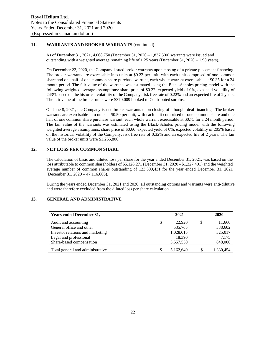# **11. WARRANTS AND BROKER WARRANTS** (continued)

As of December 31, 2021, 4,068,750 (December 31, 2020 – 1,837,500) warrants were issued and outstanding with a weighted average remaining life of 1.25 years (December 31, 2020 – 1.98 years).

On December 22, 2020, the Company issued broker warrants upon closing of a private placement financing. The broker warrants are exercisable into units at \$0.22 per unit, with each unit comprised of one common share and one half of one common share purchase warrant, each whole warrant exercisable at \$0.35 for a 24 month period. The fair value of the warrants was estimated using the Black-Scholes pricing model with the following weighted average assumptions: share price of \$0.22, expected yield of 0%, expected volatility of 243% based on the historical volatility of the Company, risk free rate of 0.22% and an expected life of 2 years. The fair value of the broker units were \$370,009 booked to Contributed surplus.

On June 8, 2021, the Company issued broker warrants upon closing of a bought deal financing. The broker warrants are exercisable into units at \$0.50 per unit, with each unit comprised of one common share and one half of one common share purchase warrant, each whole warrant exercisable at \$0.75 for a 24 month period. The fair value of the warrants was estimated using the Black-Scholes pricing model with the following weighted average assumptions: share price of \$0.60, expected yield of 0%, expected volatility of 205% based on the historical volatility of the Company, risk free rate of 0.32% and an expected life of 2 years. The fair value of the broker units were \$1,255,800.

# **12. NET LOSS PER COMMON SHARE**

The calculation of basic and diluted loss per share for the year ended December 31, 2021, was based on the loss attributable to common shareholders of \$5,126,271 (December 31, 2020 - \$1,327,401) and the weighted average number of common shares outstanding of 123,300,431 for the year ended December 31, 2021 (December 31, 2020 – 47,116,666).

During the years ended December 31, 2021 and 2020, all outstanding options and warrants were anti-dilutive and were therefore excluded from the diluted loss per share calculation.

### **13. GENERAL AND ADMINISTRATIVE**

| <b>Years ended December 31,</b>  |    | 2021      | 2020 |           |
|----------------------------------|----|-----------|------|-----------|
| Audit and accounting             | \$ | 22,920    | \$.  | 11,660    |
| General office and other         |    | 535,765   |      | 338,602   |
| Investor relations and marketing |    | 1,028,015 |      | 325,017   |
| Legal and professional           |    | 18,390    |      | 7,175     |
| Share-based compensation         |    | 3,557,550 |      | 648,000   |
| Total general and administrative | S  | 5,162,640 |      | 1,330,454 |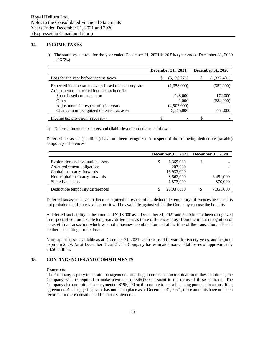# **14. INCOME TAXES**

a) The statutory tax rate for the year ended December 31, 2021 is 26.5% (year ended December 31, 2020  $-26.5\%$ ).

|                                                                                                    | December 31, 2021 |               | <b>December 31, 2020</b> |             |
|----------------------------------------------------------------------------------------------------|-------------------|---------------|--------------------------|-------------|
| Loss for the year before income taxes                                                              |                   | (5, 126, 271) |                          | (1,327,401) |
| Expected income tax recovery based on statutory rate<br>Adjustment to expected income tax benefit: |                   | (1,358,000)   |                          | (352,000)   |
| Share based compensation                                                                           |                   | 943,000       |                          | 172,000     |
| Other                                                                                              |                   | 2,000         |                          | (284,000)   |
| Adjustments in respect of prior years                                                              | (4,902,000)       |               |                          |             |
| Change in unrecognized deferred tax asset                                                          |                   | 5,315,000     |                          | 464,000     |
| Income tax provision (recovery)                                                                    |                   |               | S                        |             |

b) Deferred income tax assets and (liabilities) recorded are as follows:

Deferred tax assets (liabilities) have not been recognized in respect of the following deductible (taxable) temporary differences:

|                                   | December 31, 2021 December 31, 2020 |            |    |           |
|-----------------------------------|-------------------------------------|------------|----|-----------|
| Exploration and evaluation assets | S                                   | 1,365,000  | \$ |           |
| Asset retirement obligations      |                                     | 203,000    |    |           |
| Capital loss carry-forwards       |                                     | 16,933,000 |    |           |
| Non-capital loss carry-forwards   |                                     | 8,563,000  |    | 6,481,000 |
| Share issue costs                 |                                     | 1,873,000  |    | 870,000   |
| Deductible temporary differences  |                                     | 28,937,000 |    | 7,351,000 |

Deferred tax assets have not been recognized in respect of the deductible temporary differences because it is not probable that future taxable profit will be available against which the Company can use the benefits.

A deferred tax liability in the amount of \$213,000 as at December 31, 2021 and 2020 has not been recognized in respect of certain taxable temporary differences as these differences arose from the initial recognition of an asset in a transaction which was not a business combination and at the time of the transaction, affected neither accounting nor tax loss**.**

Non-capital losses available as at December 31, 2021 can be carried forward for twenty years, and begin to expire in 2029. As at December 31, 2021, the Company has estimated non-capital losses of approximately \$8.56 million.

# **15. CONTINGENCIES AND COMMITMENTS**

### **Contracts**

The Company is party to certain management consulting contracts. Upon termination of these contracts, the Company will be required to make payments of \$45,000 pursuant to the terms of these contracts. The Company also committed to a payment of \$195,000 on the completion of a financing pursuant to a consulting agreement. As a triggering event has not taken place as at December 31, 2021, these amounts have not been recorded in these consolidated financial statements.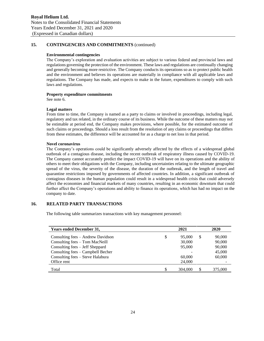# **15. CONTINGENCIES AND COMMITMENTS** (continued)

### **Environmental contingencies**

The Company's exploration and evaluation activities are subject to various federal and provincial laws and regulations governing the protection of the environment. These laws and regulations are continually changing and generally becoming more restrictive. The Company conducts its operations so as to protect public health and the environment and believes its operations are materially in compliance with all applicable laws and regulations. The Company has made, and expects to make in the future, expenditures to comply with such laws and regulations.

### **Property expenditure commitments**

See note 6.

### **Legal matters**

From time to time, the Company is named as a party to claims or involved in proceedings, including legal, regulatory and tax related, in the ordinary course of its business. While the outcome of these matters may not be estimable at period end, the Company makes provisions, where possible, for the estimated outcome of such claims or proceedings. Should a loss result from the resolution of any claims or proceedings that differs from these estimates, the difference will be accounted for as a charge to net loss in that period.

### **Novel coronavirus**

The Company's operations could be significantly adversely affected by the effects of a widespread global outbreak of a contagious disease, including the recent outbreak of respiratory illness caused by COVID-19. The Company cannot accurately predict the impact COVID-19 will have on its operations and the ability of others to meet their obligations with the Company, including uncertainties relating to the ultimate geographic spread of the virus, the severity of the disease, the duration of the outbreak, and the length of travel and quarantine restrictions imposed by governments of affected countries. In addition, a significant outbreak of contagious diseases in the human population could result in a widespread health crisis that could adversely affect the economies and financial markets of many countries, resulting in an economic downturn that could further affect the Company's operations and ability to finance its operations, which has had no impact on the company to date.

# **16. RELATED PARTY TRANSACTIONS**

The following table summarizes transactions with key management personnel:

| <b>Years ended December 31,</b>   | 2021 |         |    | 2020    |  |  |
|-----------------------------------|------|---------|----|---------|--|--|
| Consulting fees – Andrew Davidson | \$   | 95,000  | \$ | 90,000  |  |  |
| Consulting fees - Tom MacNeill    |      | 30,000  |    | 90,000  |  |  |
| Consulting fees – Jeff Sheppard   |      | 95,000  |    | 90,000  |  |  |
| Consulting fees – Campbell Becher |      |         |    | 45,000  |  |  |
| Consulting fees - Steve Halabura  |      | 60,000  |    | 60,000  |  |  |
| Office rent                       |      | 24,000  |    |         |  |  |
| Total                             | \$   | 304,000 | \$ | 375,000 |  |  |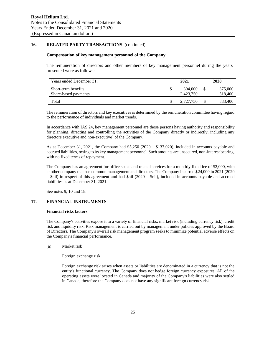# **16. RELATED PARTY TRANSACTIONS** (continued)

### **Compensation of key management personnel of the Company**

The remuneration of directors and other members of key management personnel during the years presented were as follows:

| Years ended December 31,                    | 2021 |                      |  | 2020               |  |  |
|---------------------------------------------|------|----------------------|--|--------------------|--|--|
| Short-term benefits<br>Share-based payments |      | 304,000<br>2.423.750 |  | 375,000<br>518,400 |  |  |
| Total                                       |      | 2.727.750            |  | 883.400            |  |  |

The remuneration of directors and key executives is determined by the remuneration committee having regard to the performance of individuals and market trends.

In accordance with IAS 24, key management personnel are those persons having authority and responsibility for planning, directing and controlling the activities of the Company directly or indirectly, including any directors executive and non-executive) of the Company.

As at December 31, 2021, the Company had \$5,250 (2020 – \$137,020), included in accounts payable and accrued liabilities, owing to its key management personnel. Such amounts are unsecured, non-interest bearing, with no fixed terms of repayment.

The Company has an agreement for office space and related services for a monthly fixed fee of \$2,000, with another company that has common management and directors. The Company incurred \$24,000 in 2021 (2020  $-$  \$nil) in respect of this agreement and had \$nil (2020 – \$nil), included in accounts payable and accrued liabilities as at December 31, 2021.

See notes 9, 10 and 18.

### **17. FINANCIAL INSTRUMENTS**

#### **Financial risks factors**

The Company's activities expose it to a variety of financial risks: market risk (including currency risk), credit risk and liquidity risk. Risk management is carried out by management under policies approved by the Board of Directors. The Company's overall risk management program seeks to minimize potential adverse effects on the Company's financial performance.

(a) Market risk

Foreign exchange risk

Foreign exchange risk arises when assets or liabilities are denominated in a currency that is not the entity's functional currency. The Company does not hedge foreign currency exposures. All of the operating assets were located in Canada and majority of the Company's liabilities were also settled in Canada, therefore the Company does not have any significant foreign currency risk.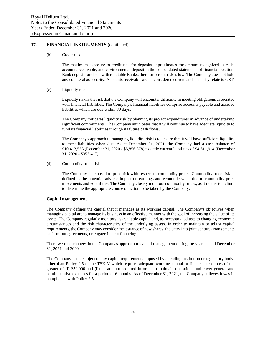# **17. FINANCIAL INSTRUMENTS** (continued)

(b) Credit risk

The maximum exposure to credit risk for deposits approximates the amount recognized as cash, accounts receivable, and environmental deposit in the consolidated statements of financial position. Bank deposits are held with reputable Banks, therefore credit risk is low. The Company does not hold any collateral as security. Accounts receivable are all considered current and primarily relate to GST.

(c) Liquidity risk

Liquidity risk is the risk that the Company will encounter difficulty in meeting obligations associated with financial liabilities. The Company's financial liabilities comprise accounts payable and accrued liabilities which are due within 30 days.

The Company mitigates liquidity risk by planning its project expenditures in advance of undertaking significant commitments. The Company anticipates that it will continue to have adequate liquidity to fund its financial liabilities through its future cash flows.

The Company's approach to managing liquidity risk is to ensure that it will have sufficient liquidity to meet liabilities when due. As at December 31, 2021, the Company had a cash balance of \$10,413,553 (December 31, 2020 - \$5,856,878) to settle current liabilities of \$4,611,914 (December 31, 2020 - \$355,417).

(d) Commodity price risk

The Company is exposed to price risk with respect to commodity prices. Commodity price risk is defined as the potential adverse impact on earnings and economic value due to commodity price movements and volatilities. The Company closely monitors commodity prices, as it relates to helium to determine the appropriate course of action to be taken by the Company.

### **Capital management**

The Company defines the capital that it manages as its working capital. The Company's objectives when managing capital are to manage its business in an effective manner with the goal of increasing the value of its assets. The Company regularly monitors its available capital and, as necessary, adjusts to changing economic circumstances and the risk characteristics of the underlying assets. In order to maintain or adjust capital requirements, the Company may consider the issuance of new shares, the entry into joint venture arrangements or farm-out agreements, or engage in debt financing.

There were no changes in the Company's approach to capital management during the years ended December 31, 2021 and 2020.

The Company is not subject to any capital requirements imposed by a lending institution or regulatory body, other than Policy 2.5 of the TSX-V which requires adequate working capital or financial resources of the greater of (i) \$50,000 and (ii) an amount required in order to maintain operations and cover general and administrative expenses for a period of 6 months. As of December 31, 2021, the Company believes it was in compliance with Policy 2.5.